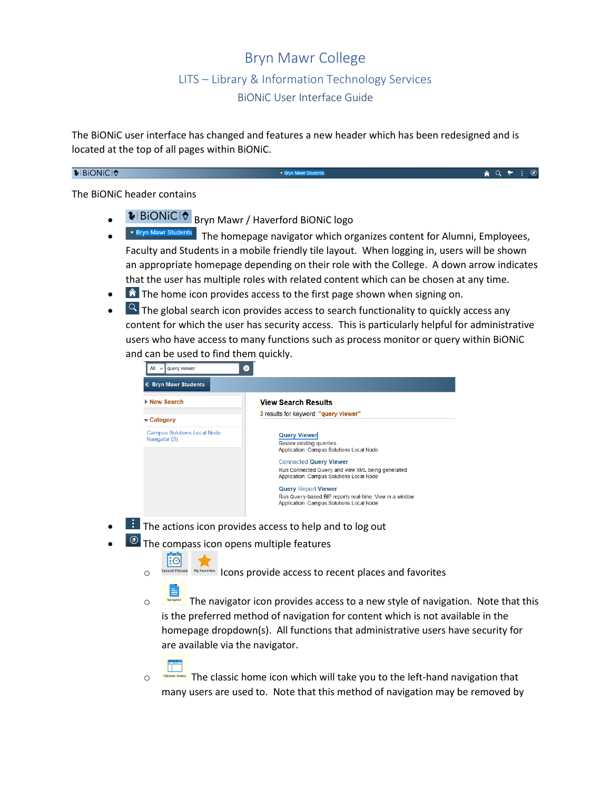## Bryn Mawr College LITS – Library & Information Technology Services BiONiC User Interface Guide

The BiONiC user interface has changed and features a new header which has been redesigned and is located at the top of all pages within BiONiC.

| $ E $ BiONiC $ Q $ | ▼ Bryn Mawr Students | $A Q \uparrow B$ |
|--------------------|----------------------|------------------|

The BiONiC header contains

- **E** BIONICIO Bryn Mawr / Haverford BIONIC logo
- Bryn Mawr Students The homepage navigator which organizes content for Alumni, Employees, Faculty and Students in a mobile friendly tile layout. When logging in, users will be shown an appropriate homepage depending on their role with the College. A down arrow indicates that the user has multiple roles with related content which can be chosen at any time.
- $\hat{I}$  The home icon provides access to the first page shown when signing on.
- $\sqrt{2}$  The global search icon provides access to search functionality to quickly access any content for which the user has security access. This is particularly helpful for administrative users who have access to many functions such as process monitor or query within BiONiC and can be used to find them quickly.

| <b>View Search Results</b>                                                                           |
|------------------------------------------------------------------------------------------------------|
|                                                                                                      |
| 3 results for keyword: "query viewer"                                                                |
| <b>Query Viewer</b><br>Review existing queries.<br><b>Application: Campus Solutions Local Node</b>   |
| <b>Connected Query Viewer</b>                                                                        |
| Run Connected Query and view XML being generated<br>Application: Campus Solutions Local Node         |
| <b>Query Report Viewer</b>                                                                           |
| Run Query-based BIP reports real-time. View in a window.<br>Application: Campus Solutions Local Node |
|                                                                                                      |

- $\overrightarrow{F}$  The actions icon provides access to help and to log out
- $\Box$  The compass icon opens multiple features

‼ଡା

- O Recent Places INy Favorites Icons provide access to recent places and favorites
- o The navigator icon provides access to a new style of navigation. Note that this is the preferred method of navigation for content which is not available in the homepage dropdown(s). All functions that administrative users have security for are available via the navigator.
- $\circ$   $\circ$   $\circ$   $\circ$   $\circ$   $\circ$  The classic home icon which will take you to the left-hand navigation that many users are used to. Note that this method of navigation may be removed by